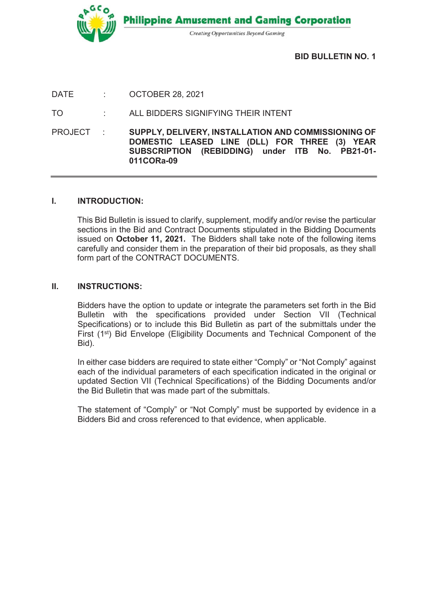

BID BULLETIN NO. 1

DATE : OCTOBER 28, 2021

TO : ALL BIDDERS SIGNIFYING THEIR INTENT

PROJECT : SUPPLY, DELIVERY, INSTALLATION AND COMMISSIONING OF DOMESTIC LEASED LINE (DLL) FOR THREE (3) YEAR SUBSCRIPTION (REBIDDING) under ITB No. PB21-01- 011CORa-09

## I. INTRODUCTION:

This Bid Bulletin is issued to clarify, supplement, modify and/or revise the particular sections in the Bid and Contract Documents stipulated in the Bidding Documents issued on October 11, 2021. The Bidders shall take note of the following items carefully and consider them in the preparation of their bid proposals, as they shall form part of the CONTRACT DOCUMENTS.

## II. INSTRUCTIONS:

Bidders have the option to update or integrate the parameters set forth in the Bid Bulletin with the specifications provided under Section VII (Technical Specifications) or to include this Bid Bulletin as part of the submittals under the First (1st) Bid Envelope (Eligibility Documents and Technical Component of the Bid).

In either case bidders are required to state either "Comply" or "Not Comply" against each of the individual parameters of each specification indicated in the original or updated Section VII (Technical Specifications) of the Bidding Documents and/or the Bid Bulletin that was made part of the submittals.

The statement of "Comply" or "Not Comply" must be supported by evidence in a Bidders Bid and cross referenced to that evidence, when applicable.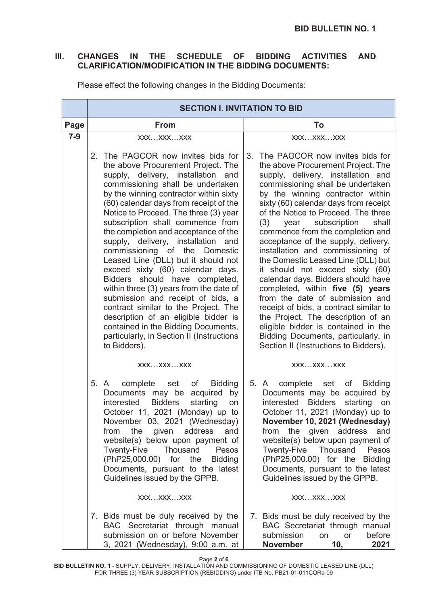## III. CHANGES IN THE SCHEDULE OF BIDDING ACTIVITIES AND CLARIFICATION/MODIFICATION IN THE BIDDING DOCUMENTS:

|       | <b>SECTION I. INVITATION TO BID</b>                                                                                                                                                                                                                                                                                                                                                                                                                                                                                                                                                                                                                                                                                                                                                                                  |                                                                                                                                                                                                                                                                                                                                                                                                                                                                                                                                                                                                                                                                                                                                                                                                                              |
|-------|----------------------------------------------------------------------------------------------------------------------------------------------------------------------------------------------------------------------------------------------------------------------------------------------------------------------------------------------------------------------------------------------------------------------------------------------------------------------------------------------------------------------------------------------------------------------------------------------------------------------------------------------------------------------------------------------------------------------------------------------------------------------------------------------------------------------|------------------------------------------------------------------------------------------------------------------------------------------------------------------------------------------------------------------------------------------------------------------------------------------------------------------------------------------------------------------------------------------------------------------------------------------------------------------------------------------------------------------------------------------------------------------------------------------------------------------------------------------------------------------------------------------------------------------------------------------------------------------------------------------------------------------------------|
| Page  | <b>From</b>                                                                                                                                                                                                                                                                                                                                                                                                                                                                                                                                                                                                                                                                                                                                                                                                          | To                                                                                                                                                                                                                                                                                                                                                                                                                                                                                                                                                                                                                                                                                                                                                                                                                           |
| $7-9$ | XXXXXXXXX                                                                                                                                                                                                                                                                                                                                                                                                                                                                                                                                                                                                                                                                                                                                                                                                            | XXXXXXXXX                                                                                                                                                                                                                                                                                                                                                                                                                                                                                                                                                                                                                                                                                                                                                                                                                    |
|       | 2. The PAGCOR now invites bids for<br>the above Procurement Project. The<br>supply, delivery, installation and<br>commissioning shall be undertaken<br>by the winning contractor within sixty<br>(60) calendar days from receipt of the<br>Notice to Proceed. The three (3) year<br>subscription shall commence from<br>the completion and acceptance of the<br>supply, delivery, installation and<br>commissioning of the Domestic<br>Leased Line (DLL) but it should not<br>exceed sixty (60) calendar days.<br>Bidders should have completed,<br>within three (3) years from the date of<br>submission and receipt of bids, a<br>contract similar to the Project. The<br>description of an eligible bidder is<br>contained in the Bidding Documents,<br>particularly, in Section II (Instructions<br>to Bidders). | The PAGCOR now invites bids for<br>3.<br>the above Procurement Project. The<br>supply, delivery, installation and<br>commissioning shall be undertaken<br>by the winning contractor within<br>sixty (60) calendar days from receipt<br>of the Notice to Proceed. The three<br>year subscription<br>shall<br>(3)<br>commence from the completion and<br>acceptance of the supply, delivery,<br>installation and commissioning of<br>the Domestic Leased Line (DLL) but<br>it should not exceed sixty (60)<br>calendar days. Bidders should have<br>completed, within five (5) years<br>from the date of submission and<br>receipt of bids, a contract similar to<br>the Project. The description of an<br>eligible bidder is contained in the<br>Bidding Documents, particularly, in<br>Section II (Instructions to Bidders). |
|       | XXXXXXXXX                                                                                                                                                                                                                                                                                                                                                                                                                                                                                                                                                                                                                                                                                                                                                                                                            | XXXXXXXXX                                                                                                                                                                                                                                                                                                                                                                                                                                                                                                                                                                                                                                                                                                                                                                                                                    |
|       | 5. A<br>complete<br>of<br><b>Bidding</b><br>set<br>Documents may be acquired by<br><b>Bidders</b><br>starting<br>interested<br>on<br>October 11, 2021 (Monday) up to<br>November 03, 2021 (Wednesday)<br>given address<br>from<br>the<br>and<br>website(s) below upon payment of<br><b>Twenty-Five</b><br>Thousand<br>Pesos<br>(PhP25,000.00) for the<br><b>Bidding</b><br>Documents, pursuant to the latest<br>Guidelines issued by the GPPB.                                                                                                                                                                                                                                                                                                                                                                       | 5. A<br>complete<br><b>Bidding</b><br>set of<br>Documents may be acquired by<br><b>Bidders</b><br>starting<br>interested<br>on<br>October 11, 2021 (Monday) up to<br>November 10, 2021 (Wednesday)<br>from the given address<br>and<br>website(s) below upon payment of<br>Twenty-Five Thousand Pesos<br>(PhP25,000.00) for the Bidding<br>Documents, pursuant to the latest<br>Guidelines issued by the GPPB.                                                                                                                                                                                                                                                                                                                                                                                                               |
|       | XXXXXXXXX                                                                                                                                                                                                                                                                                                                                                                                                                                                                                                                                                                                                                                                                                                                                                                                                            | XXXXXXXXX                                                                                                                                                                                                                                                                                                                                                                                                                                                                                                                                                                                                                                                                                                                                                                                                                    |
|       | 7. Bids must be duly received by the<br>BAC Secretariat through manual<br>submission on or before November<br>3, 2021 (Wednesday), 9:00 a.m. at                                                                                                                                                                                                                                                                                                                                                                                                                                                                                                                                                                                                                                                                      | 7. Bids must be duly received by the<br>BAC Secretariat through manual<br>submission<br>before<br>on or<br><b>November</b><br>10,<br>2021                                                                                                                                                                                                                                                                                                                                                                                                                                                                                                                                                                                                                                                                                    |

Please effect the following changes in the Bidding Documents:

Page 2 of 6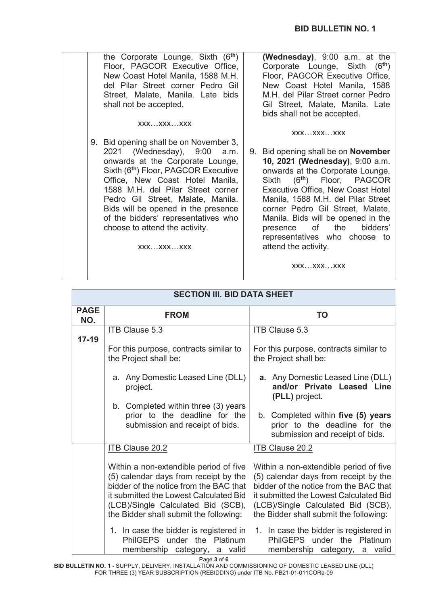| the Corporate Lounge, Sixth (6 <sup>th</sup> )                                                                                                                                                                                                                                                                                                                                                             | (Wednesday), 9:00 a.m. at the                                                                                                                                                                                                                                                                                                                                                                                                             |
|------------------------------------------------------------------------------------------------------------------------------------------------------------------------------------------------------------------------------------------------------------------------------------------------------------------------------------------------------------------------------------------------------------|-------------------------------------------------------------------------------------------------------------------------------------------------------------------------------------------------------------------------------------------------------------------------------------------------------------------------------------------------------------------------------------------------------------------------------------------|
| Floor, PAGCOR Executive Office,                                                                                                                                                                                                                                                                                                                                                                            | Corporate Lounge, Sixth (6 <sup>th</sup> )                                                                                                                                                                                                                                                                                                                                                                                                |
| New Coast Hotel Manila, 1588 M.H.                                                                                                                                                                                                                                                                                                                                                                          | Floor, PAGCOR Executive Office,                                                                                                                                                                                                                                                                                                                                                                                                           |
| del Pilar Street corner Pedro Gil                                                                                                                                                                                                                                                                                                                                                                          | New Coast Hotel Manila, 1588                                                                                                                                                                                                                                                                                                                                                                                                              |
| Street, Malate, Manila. Late bids                                                                                                                                                                                                                                                                                                                                                                          | M.H. del Pilar Street corner Pedro                                                                                                                                                                                                                                                                                                                                                                                                        |
| shall not be accepted.                                                                                                                                                                                                                                                                                                                                                                                     | Gil Street, Malate, Manila. Late                                                                                                                                                                                                                                                                                                                                                                                                          |
| XXXXXXXXX                                                                                                                                                                                                                                                                                                                                                                                                  | bids shall not be accepted.                                                                                                                                                                                                                                                                                                                                                                                                               |
| 9. Bid opening shall be on November 3,<br>2021 (Wednesday), 9:00<br>a.m.<br>onwards at the Corporate Lounge,<br>Sixth (6 <sup>th</sup> ) Floor, PAGCOR Executive<br>Office, New Coast Hotel Manila,<br>1588 M.H. del Pilar Street corner<br>Pedro Gil Street, Malate, Manila.<br>Bids will be opened in the presence<br>of the bidders' representatives who<br>choose to attend the activity.<br>XXXXXXXXX | XXXXXXXXX<br>9. Bid opening shall be on <b>November</b><br>10, 2021 (Wednesday), 9:00 a.m.<br>onwards at the Corporate Lounge,<br>Sixth (6 <sup>th</sup> ) Floor, PAGCOR<br><b>Executive Office, New Coast Hotel</b><br>Manila, 1588 M.H. del Pilar Street<br>corner Pedro Gil Street, Malate,<br>Manila. Bids will be opened in the<br>presence of the<br>bidders'<br>representatives who choose to<br>attend the activity.<br>XXXXXXXXX |

| <b>SECTION III. BID DATA SHEET</b> |                                                                                                                                                                                                                                                     |                                                                                                                                                                                                                                                     |
|------------------------------------|-----------------------------------------------------------------------------------------------------------------------------------------------------------------------------------------------------------------------------------------------------|-----------------------------------------------------------------------------------------------------------------------------------------------------------------------------------------------------------------------------------------------------|
| <b>PAGE</b><br>NO.                 | <b>FROM</b>                                                                                                                                                                                                                                         | <b>TO</b>                                                                                                                                                                                                                                           |
| $17 - 19$                          | <b>ITB Clause 5.3</b>                                                                                                                                                                                                                               | <b>ITB Clause 5.3</b>                                                                                                                                                                                                                               |
|                                    | For this purpose, contracts similar to<br>the Project shall be:                                                                                                                                                                                     | For this purpose, contracts similar to<br>the Project shall be:                                                                                                                                                                                     |
|                                    | a. Any Domestic Leased Line (DLL)<br>project.                                                                                                                                                                                                       | <b>a.</b> Any Domestic Leased Line (DLL)<br>and/or Private Leased Line<br>(PLL) project.                                                                                                                                                            |
|                                    | b. Completed within three (3) years<br>prior to the deadline for the<br>submission and receipt of bids.                                                                                                                                             | b. Completed within five (5) years<br>prior to the deadline for the<br>submission and receipt of bids.                                                                                                                                              |
|                                    | <b>ITB Clause 20.2</b>                                                                                                                                                                                                                              | <b>ITB Clause 20.2</b>                                                                                                                                                                                                                              |
|                                    | Within a non-extendible period of five<br>(5) calendar days from receipt by the<br>bidder of the notice from the BAC that<br>it submitted the Lowest Calculated Bid<br>(LCB)/Single Calculated Bid (SCB),<br>the Bidder shall submit the following: | Within a non-extendible period of five<br>(5) calendar days from receipt by the<br>bidder of the notice from the BAC that<br>it submitted the Lowest Calculated Bid<br>(LCB)/Single Calculated Bid (SCB),<br>the Bidder shall submit the following: |
|                                    | 1. In case the bidder is registered in<br>PhilGEPS under the Platinum<br>membership category, a valid                                                                                                                                               | 1. In case the bidder is registered in<br>PhilGEPS under the Platinum<br>membership category, a valid                                                                                                                                               |

Page 3 of 6

BID BULLETIN NO. 1 - SUPPLY, DELIVERY, INSTALLATION AND COMMISSIONING OF DOMESTIC LEASED LINE (DLL) FOR THREE (3) YEAR SUBSCRIPTION (REBIDDING) under ITB No. PB21-01-011CORa-09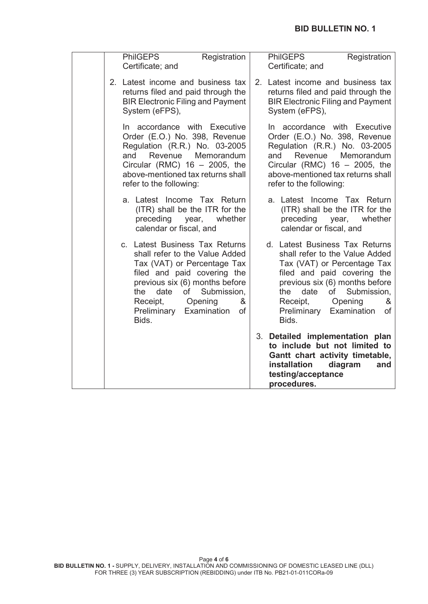| <b>PhilGEPS</b><br>Registration<br>Certificate; and                                                                                                                                                                                                                        | <b>PhilGEPS</b><br>Registration<br>Certificate; and                                                                                                                                                                                                                        |
|----------------------------------------------------------------------------------------------------------------------------------------------------------------------------------------------------------------------------------------------------------------------------|----------------------------------------------------------------------------------------------------------------------------------------------------------------------------------------------------------------------------------------------------------------------------|
| 2. Latest income and business tax<br>returns filed and paid through the<br><b>BIR Electronic Filing and Payment</b><br>System (eFPS),                                                                                                                                      | 2. Latest income and business tax<br>returns filed and paid through the<br><b>BIR Electronic Filing and Payment</b><br>System (eFPS),                                                                                                                                      |
| In accordance with Executive<br>Order (E.O.) No. 398, Revenue<br>Regulation (R.R.) No. 03-2005<br>and<br>Revenue<br>Memorandum<br>Circular (RMC) $16 - 2005$ , the<br>above-mentioned tax returns shall<br>refer to the following:                                         | In accordance with Executive<br>Order (E.O.) No. 398, Revenue<br>Regulation (R.R.) No. 03-2005<br>and<br>Revenue<br>Memorandum<br>Circular (RMC) $16 - 2005$ , the<br>above-mentioned tax returns shall<br>refer to the following:                                         |
| a. Latest Income Tax Return<br>(ITR) shall be the ITR for the<br>preceding<br>year, whether<br>calendar or fiscal, and                                                                                                                                                     | a. Latest Income Tax Return<br>(ITR) shall be the ITR for the<br>preceding<br>year,<br>whether<br>calendar or fiscal, and                                                                                                                                                  |
| c. Latest Business Tax Returns<br>shall refer to the Value Added<br>Tax (VAT) or Percentage Tax<br>filed and paid covering the<br>previous six (6) months before<br>date<br>of<br>Submission,<br>the<br>Opening<br>Receipt,<br>&<br>Preliminary Examination<br>of<br>Bids. | d. Latest Business Tax Returns<br>shall refer to the Value Added<br>Tax (VAT) or Percentage Tax<br>filed and paid covering the<br>previous six (6) months before<br>date<br>the<br>of<br>Submission,<br>Opening<br>Receipt,<br>&<br>Preliminary Examination<br>of<br>Bids. |
|                                                                                                                                                                                                                                                                            | 3. Detailed implementation plan<br>to include but not limited to<br>Gantt chart activity timetable,<br>installation<br>diagram<br>and<br>testing/acceptance<br>procedures.                                                                                                 |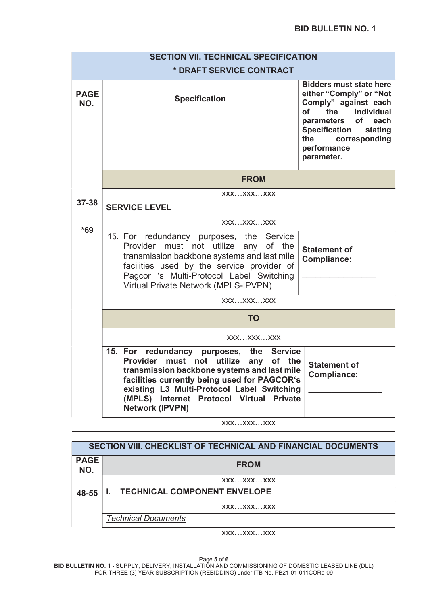| <b>SECTION VII. TECHNICAL SPECIFICATION</b> |                                                                                                                                                                                                                                                                                                                                                                                |  |  |
|---------------------------------------------|--------------------------------------------------------------------------------------------------------------------------------------------------------------------------------------------------------------------------------------------------------------------------------------------------------------------------------------------------------------------------------|--|--|
|                                             | * DRAFT SERVICE CONTRACT                                                                                                                                                                                                                                                                                                                                                       |  |  |
| <b>PAGE</b><br>NO.                          | <b>Bidders must state here</b><br>either "Comply" or "Not<br><b>Specification</b><br>Comply" against each<br><b>of</b><br>the<br>individual<br>of each<br>parameters<br><b>Specification</b><br>stating<br>the<br>corresponding<br>performance<br>parameter.                                                                                                                   |  |  |
|                                             | <b>FROM</b>                                                                                                                                                                                                                                                                                                                                                                    |  |  |
| $37 - 38$                                   | XXXXXXXXX                                                                                                                                                                                                                                                                                                                                                                      |  |  |
|                                             | <b>SERVICE LEVEL</b>                                                                                                                                                                                                                                                                                                                                                           |  |  |
| $*69$                                       | XXXXXXXXX                                                                                                                                                                                                                                                                                                                                                                      |  |  |
|                                             | 15. For redundancy purposes, the Service<br>Provider must not utilize any of the<br><b>Statement of</b><br>transmission backbone systems and last mile<br><b>Compliance:</b><br>facilities used by the service provider of<br>Pagcor 's Multi-Protocol Label Switching<br>Virtual Private Network (MPLS-IPVPN)                                                                 |  |  |
|                                             | XXXXXXXXX                                                                                                                                                                                                                                                                                                                                                                      |  |  |
|                                             | <b>TO</b>                                                                                                                                                                                                                                                                                                                                                                      |  |  |
|                                             | XXXXXXXXX                                                                                                                                                                                                                                                                                                                                                                      |  |  |
|                                             | 15. For redundancy purposes, the Service<br>Provider must not utilize any of the<br><b>Statement of</b><br>transmission backbone systems and last mile<br><b>Compliance:</b><br>facilities currently being used for PAGCOR's<br>existing L3 Multi-Protocol Label Switching<br>(MPLS)<br><b>Internet</b><br><b>Protocol Virtual</b><br><b>Private</b><br><b>Network (IPVPN)</b> |  |  |
|                                             | XXXXXXXXX                                                                                                                                                                                                                                                                                                                                                                      |  |  |

| SECTION VIII. CHECKLIST OF TECHNICAL AND FINANCIAL DOCUMENTS |                                     |
|--------------------------------------------------------------|-------------------------------------|
| <b>PAGE</b><br>NO.                                           | <b>FROM</b>                         |
|                                                              | XXXXXXXXX                           |
| 48-55                                                        | <b>TECHNICAL COMPONENT ENVELOPE</b> |
|                                                              | XXXXXXXXX                           |
|                                                              | <b>Technical Documents</b>          |
|                                                              | XXXXXXXXX                           |

Page 5 of 6

BID BULLETIN NO. 1 - SUPPLY, DELIVERY, INSTALLATION AND COMMISSIONING OF DOMESTIC LEASED LINE (DLL) FOR THREE (3) YEAR SUBSCRIPTION (REBIDDING) under ITB No. PB21-01-011CORa-09